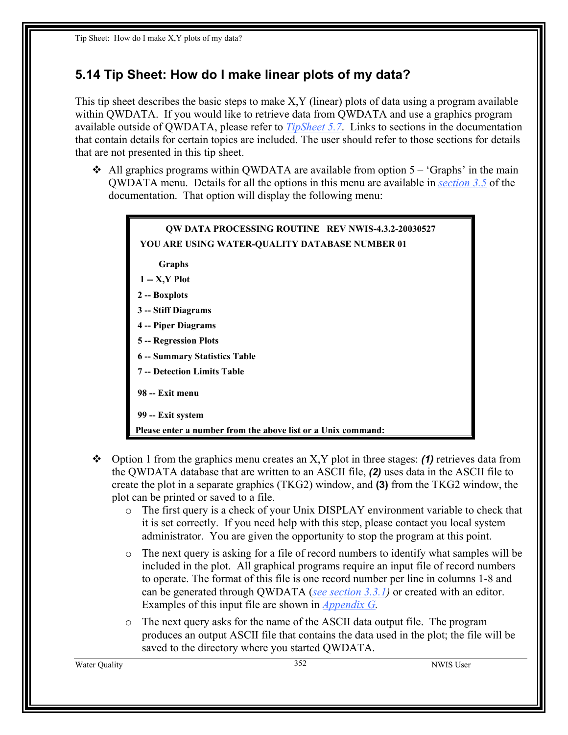## **5.14 Tip Sheet: How do I make linear plots of my data?**

This tip sheet describes the basic steps to make X,Y (linear) plots of data using a program available within QWDATA. If you would like to retrieve data from QWDATA and use a graphics program available outside of QWDATA, please refer to *TipSheet 5.7*. Links to sections in the documentation that contain details for certain topics are included. The user should refer to those sections for details that are not presented in this tip sheet.

 $\triangleleft$  All graphics programs within QWDATA are available from option 5 – 'Graphs' in the main QWDATA menu. Details for all the options in this menu are available in *section 3.5* of the documentation. That option will display the following menu:



- Option 1 from the graphics menu creates an X,Y plot in three stages: *(1)* retrieves data from the QWDATA database that are written to an ASCII file, *(2)* uses data in the ASCII file to create the plot in a separate graphics (TKG2) window, and **(3)** from the TKG2 window, the plot can be printed or saved to a file.
	- o The first query is a check of your Unix DISPLAY environment variable to check that it is set correctly. If you need help with this step, please contact you local system administrator. You are given the opportunity to stop the program at this point.
	- $\circ$  The next query is asking for a file of record numbers to identify what samples will be included in the plot. All graphical programs require an input file of record numbers to operate. The format of this file is one record number per line in columns 1-8 and can be generated through QWDATA (*see section 3.3.1)* or created with an editor. Examples of this input file are shown in *Appendix G.*
	- o The next query asks for the name of the ASCII data output file. The program produces an output ASCII file that contains the data used in the plot; the file will be saved to the directory where you started QWDATA.

Water Quality 352 NWIS User